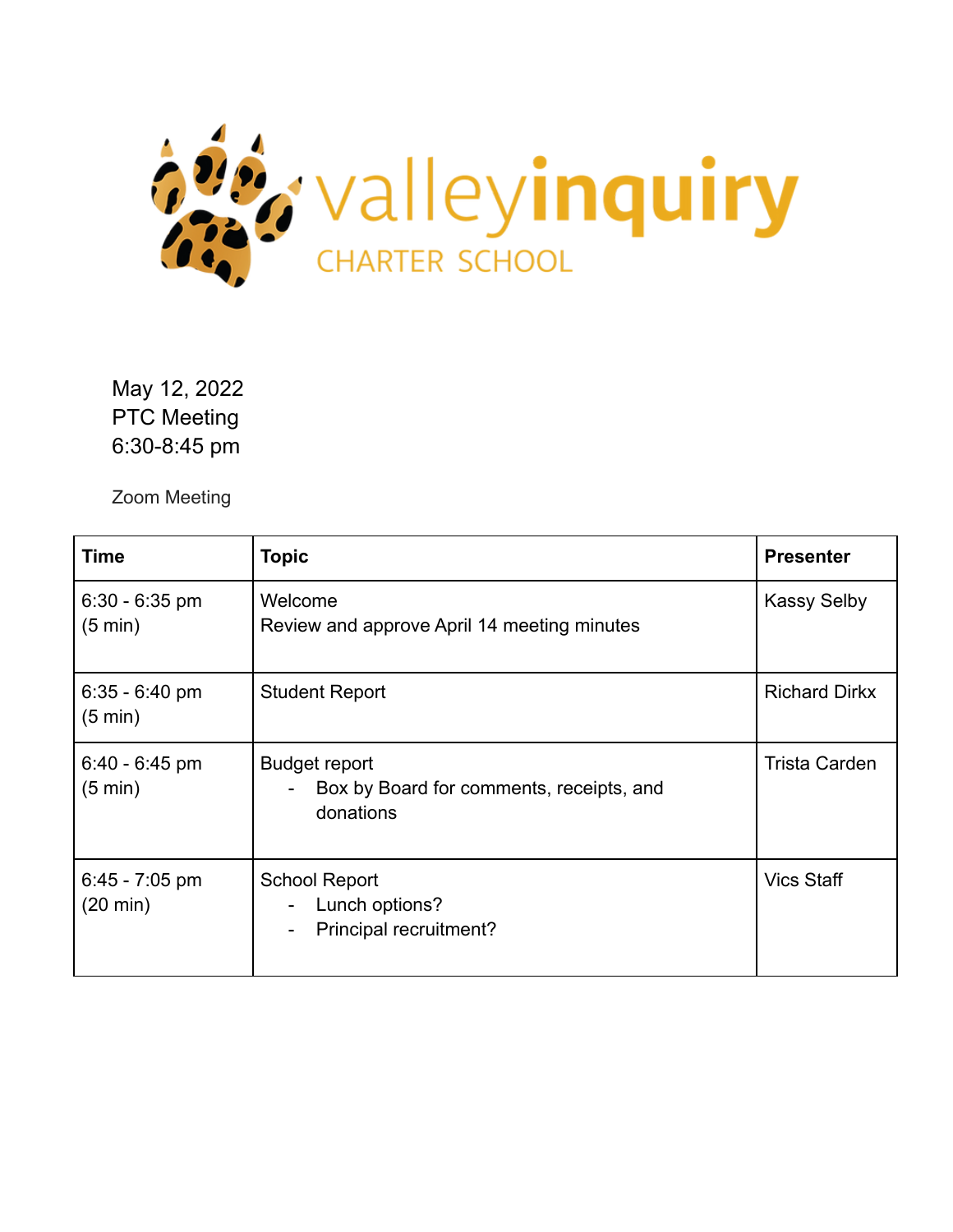

May 12, 2022 PTC Meeting 6:30-8:45 pm

Zoom Meeting

| Time                                   | <b>Topic</b>                                                                                              | <b>Presenter</b>     |
|----------------------------------------|-----------------------------------------------------------------------------------------------------------|----------------------|
| $6:30 - 6:35$ pm<br>$(5 \text{ min})$  | Welcome<br>Review and approve April 14 meeting minutes                                                    | <b>Kassy Selby</b>   |
| $6.35 - 6.40$ pm<br>$(5 \text{ min})$  | <b>Student Report</b>                                                                                     | <b>Richard Dirkx</b> |
| $6.40 - 6.45$ pm<br>$(5 \text{ min})$  | <b>Budget report</b><br>Box by Board for comments, receipts, and<br>$\overline{\phantom{0}}$<br>donations | <b>Trista Carden</b> |
| $6.45 - 7.05$ pm<br>$(20 \text{ min})$ | <b>School Report</b><br>Lunch options?<br>Principal recruitment?<br>$\overline{\phantom{a}}$              | <b>Vics Staff</b>    |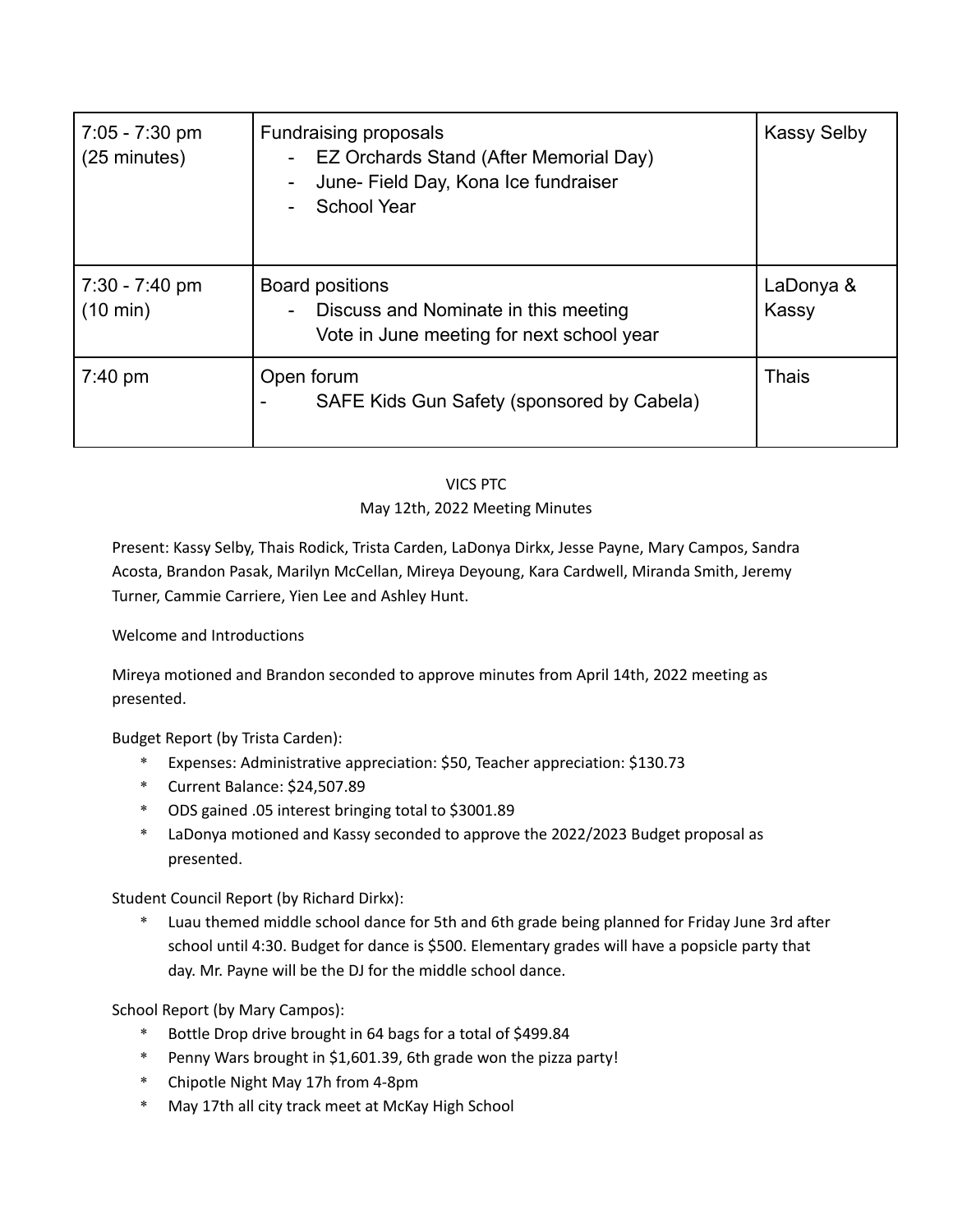| $7:05 - 7:30$ pm<br>$(25 \text{ minutes})$ | <b>Fundraising proposals</b><br>EZ Orchards Stand (After Memorial Day)<br>Ξ.<br>June- Field Day, Kona Ice fundraiser<br><b>School Year</b> | <b>Kassy Selby</b> |
|--------------------------------------------|--------------------------------------------------------------------------------------------------------------------------------------------|--------------------|
| $7:30 - 7:40$ pm<br>$(10 \text{ min})$     | Board positions<br>Discuss and Nominate in this meeting<br>Ξ.<br>Vote in June meeting for next school year                                 | LaDonya &<br>Kassy |
| $7:40 \text{ pm}$                          | Open forum<br>SAFE Kids Gun Safety (sponsored by Cabela)                                                                                   | <b>Thais</b>       |

## VICS PTC May 12th, 2022 Meeting Minutes

Present: Kassy Selby, Thais Rodick, Trista Carden, LaDonya Dirkx, Jesse Payne, Mary Campos, Sandra Acosta, Brandon Pasak, Marilyn McCellan, Mireya Deyoung, Kara Cardwell, Miranda Smith, Jeremy Turner, Cammie Carriere, Yien Lee and Ashley Hunt.

## Welcome and Introductions

Mireya motioned and Brandon seconded to approve minutes from April 14th, 2022 meeting as presented.

Budget Report (by Trista Carden):

- \* Expenses: Administrative appreciation: \$50, Teacher appreciation: \$130.73
- \* Current Balance: \$24,507.89
- \* ODS gained .05 interest bringing total to \$3001.89
- \* LaDonya motioned and Kassy seconded to approve the 2022/2023 Budget proposal as presented.

Student Council Report (by Richard Dirkx):

\* Luau themed middle school dance for 5th and 6th grade being planned for Friday June 3rd after school until 4:30. Budget for dance is \$500. Elementary grades will have a popsicle party that day. Mr. Payne will be the DJ for the middle school dance.

School Report (by Mary Campos):

- \* Bottle Drop drive brought in 64 bags for a total of \$499.84
- \* Penny Wars brought in \$1,601.39, 6th grade won the pizza party!
- \* Chipotle Night May 17h from 4-8pm
- \* May 17th all city track meet at McKay High School